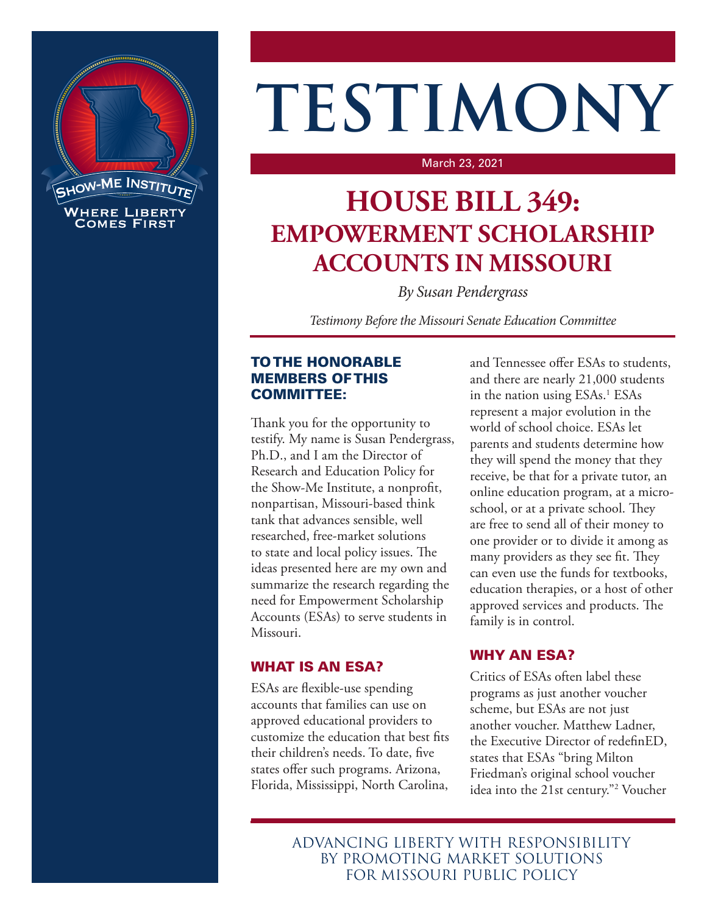

# **TESTIMONY**

#### March 23, 2021

# **HOUSE BILL 349: EMPOWERMENT SCHOLARSHIP ACCOUNTS IN MISSOURI**

*By Susan Pendergrass*

*Testimony Before the Missouri Senate Education Committee*

#### TO THE HONORABLE MEMBERS OF THIS COMMITTEE:

Thank you for the opportunity to testify. My name is Susan Pendergrass, Ph.D., and I am the Director of Research and Education Policy for the Show-Me Institute, a nonprofit, nonpartisan, Missouri-based think tank that advances sensible, well researched, free-market solutions to state and local policy issues. The ideas presented here are my own and summarize the research regarding the need for Empowerment Scholarship Accounts (ESAs) to serve students in Missouri.

#### WHAT IS AN ESA?

ESAs are flexible-use spending accounts that families can use on approved educational providers to customize the education that best fits their children's needs. To date, five states offer such programs. Arizona, Florida, Mississippi, North Carolina,

and Tennessee offer ESAs to students, and there are nearly 21,000 students in the nation using ESAs.<sup>1</sup> ESAs represent a major evolution in the world of school choice. ESAs let parents and students determine how they will spend the money that they receive, be that for a private tutor, an online education program, at a microschool, or at a private school. They are free to send all of their money to one provider or to divide it among as many providers as they see fit. They can even use the funds for textbooks, education therapies, or a host of other approved services and products. The family is in control.

## WHY AN ESA?

Critics of ESAs often label these programs as just another voucher scheme, but ESAs are not just another voucher. Matthew Ladner, the Executive Director of redefinED, states that ESAs "bring Milton Friedman's original school voucher idea into the 21st century."2 Voucher

ADVANCING LIBERTY WITH RESPONSIBILITY BY PROMOTING MARKET SOLUTIONS FOR MISSOURI PUBLIC POLICY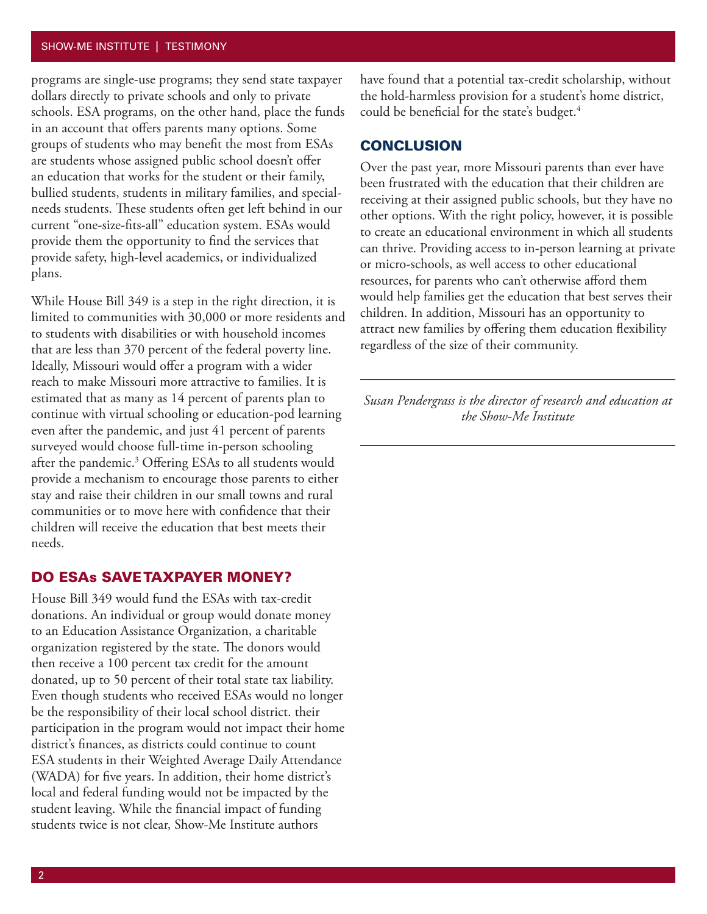#### SHOW-ME INSTITUTE | TESTIMONY

programs are single-use programs; they send state taxpayer dollars directly to private schools and only to private schools. ESA programs, on the other hand, place the funds in an account that offers parents many options. Some groups of students who may benefit the most from ESAs are students whose assigned public school doesn't offer an education that works for the student or their family, bullied students, students in military families, and specialneeds students. These students often get left behind in our current "one-size-fits-all" education system. ESAs would provide them the opportunity to find the services that provide safety, high-level academics, or individualized plans.

While House Bill 349 is a step in the right direction, it is limited to communities with 30,000 or more residents and to students with disabilities or with household incomes that are less than 370 percent of the federal poverty line. Ideally, Missouri would offer a program with a wider reach to make Missouri more attractive to families. It is estimated that as many as 14 percent of parents plan to continue with virtual schooling or education-pod learning even after the pandemic, and just 41 percent of parents surveyed would choose full-time in-person schooling after the pandemic.<sup>3</sup> Offering ESAs to all students would provide a mechanism to encourage those parents to either stay and raise their children in our small towns and rural communities or to move here with confidence that their children will receive the education that best meets their needs.

#### DO ESAs SAVE TAXPAYER MONEY?

House Bill 349 would fund the ESAs with tax-credit donations. An individual or group would donate money to an Education Assistance Organization, a charitable organization registered by the state. The donors would then receive a 100 percent tax credit for the amount donated, up to 50 percent of their total state tax liability. Even though students who received ESAs would no longer be the responsibility of their local school district. their participation in the program would not impact their home district's finances, as districts could continue to count ESA students in their Weighted Average Daily Attendance (WADA) for five years. In addition, their home district's local and federal funding would not be impacted by the student leaving. While the financial impact of funding students twice is not clear, Show-Me Institute authors

have found that a potential tax-credit scholarship, without the hold-harmless provision for a student's home district, could be beneficial for the state's budget.<sup>4</sup>

#### **CONCLUSION**

Over the past year, more Missouri parents than ever have been frustrated with the education that their children are receiving at their assigned public schools, but they have no other options. With the right policy, however, it is possible to create an educational environment in which all students can thrive. Providing access to in-person learning at private or micro-schools, as well access to other educational resources, for parents who can't otherwise afford them would help families get the education that best serves their children. In addition, Missouri has an opportunity to attract new families by offering them education flexibility regardless of the size of their community.

*Susan Pendergrass is the director of research and education at the Show-Me Institute*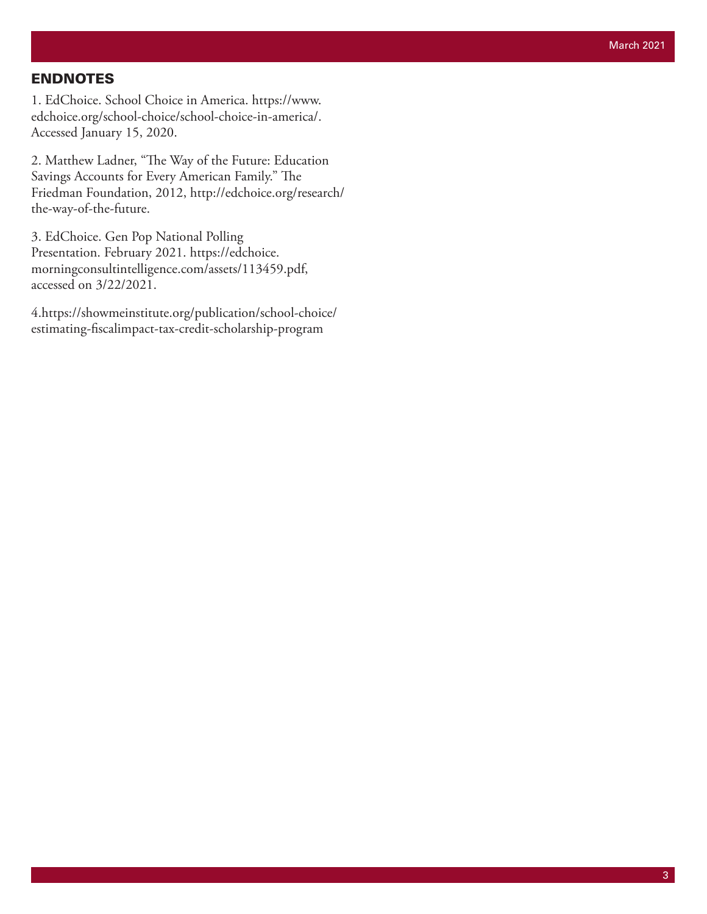### ENDNOTES

1. EdChoice. School Choice in America. https://www. edchoice.org/school-choice/school-choice-in-america/. Accessed January 15, 2020.

2. Matthew Ladner, "The Way of the Future: Education Savings Accounts for Every American Family." The Friedman Foundation, 2012, http://edchoice.org/research/ the-way-of-the-future.

3. EdChoice. Gen Pop National Polling Presentation. February 2021. https://edchoice. morningconsultintelligence.com/assets/113459.pdf, accessed on 3/22/2021.

4.https://showmeinstitute.org/publication/school-choice/ estimating-fiscalimpact-tax-credit-scholarship-program